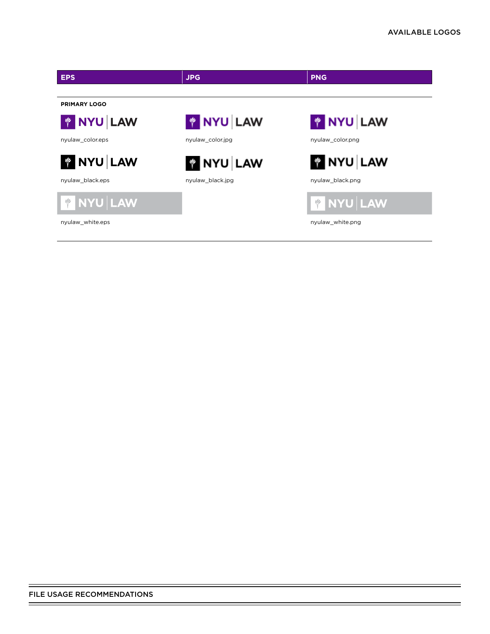$=$